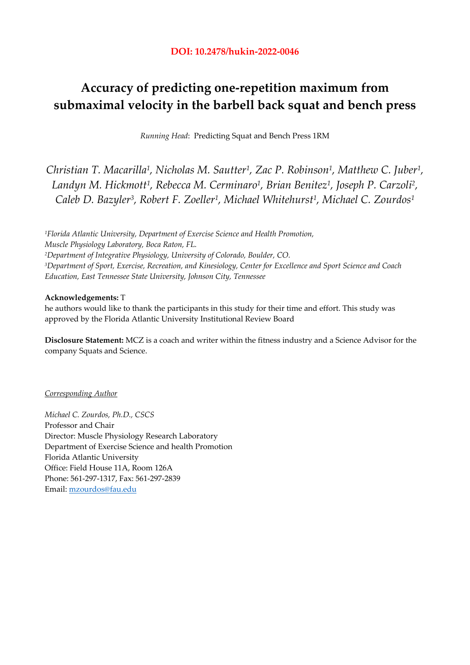# **Accuracy of predicting one-repetition maximum from submaximal velocity in the barbell back squat and bench press**

*Running Head*: Predicting Squat and Bench Press 1RM

*Christian T. Macarilla1, Nicholas M. Sautter1, Zac P. Robinson1, Matthew C. Juber1, Landyn M. Hickmott1, Rebecca M. Cerminaro1, Brian Benitez1, Joseph P. Carzoli2, Caleb D. Bazyler3, Robert F. Zoeller1, Michael Whitehurst1, Michael C. Zourdos1*

*1Florida Atlantic University, Department of Exercise Science and Health Promotion, Muscle Physiology Laboratory, Boca Raton, FL. 2Department of Integrative Physiology, University of Colorado, Boulder, CO. 3Department of Sport, Exercise, Recreation, and Kinesiology, Center for Excellence and Sport Science and Coach Education, East Tennessee State University, Johnson City, Tennessee* 

# **Acknowledgements:** T

he authors would like to thank the participants in this study for their time and effort. This study was approved by the Florida Atlantic University Institutional Review Board

**Disclosure Statement:** MCZ is a coach and writer within the fitness industry and a Science Advisor for the company Squats and Science.

# *Corresponding Author*

*Michael C. Zourdos, Ph.D., CSCS*  Professor and Chair Director: Muscle Physiology Research Laboratory Department of Exercise Science and health Promotion Florida Atlantic University Office: Field House 11A, Room 126A Phone: 561-297-1317, Fax: 561-297-2839 Email: mzourdos@fau.edu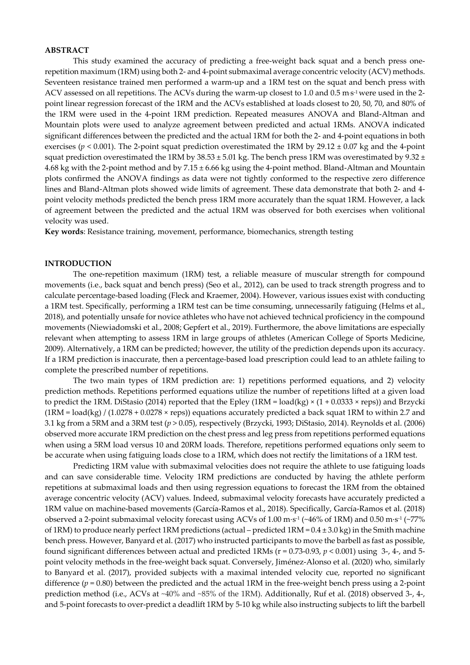#### **ABSTRACT**

This study examined the accuracy of predicting a free-weight back squat and a bench press onerepetition maximum (1RM) using both 2- and 4-point submaximal average concentric velocity (ACV) methods. Seventeen resistance trained men performed a warm-up and a 1RM test on the squat and bench press with ACV assessed on all repetitions. The ACVs during the warm-up closest to 1.0 and 0.5 ms<sup>-1</sup> were used in the 2point linear regression forecast of the 1RM and the ACVs established at loads closest to 20, 50, 70, and 80% of the 1RM were used in the 4-point 1RM prediction. Repeated measures ANOVA and Bland-Altman and Mountain plots were used to analyze agreement between predicted and actual 1RMs. ANOVA indicated significant differences between the predicted and the actual 1RM for both the 2- and 4-point equations in both exercises ( $p < 0.001$ ). The 2-point squat prediction overestimated the 1RM by 29.12  $\pm$  0.07 kg and the 4-point squat prediction overestimated the 1RM by  $38.53 \pm 5.01$  kg. The bench press 1RM was overestimated by  $9.32 \pm 1.0$ 4.68 kg with the 2-point method and by  $7.15 \pm 6.66$  kg using the 4-point method. Bland-Altman and Mountain plots confirmed the ANOVA findings as data were not tightly conformed to the respective zero difference lines and Bland-Altman plots showed wide limits of agreement. These data demonstrate that both 2- and 4 point velocity methods predicted the bench press 1RM more accurately than the squat 1RM. However, a lack of agreement between the predicted and the actual 1RM was observed for both exercises when volitional velocity was used.

**Key words**: Resistance training, movement, performance, biomechanics, strength testing

### **INTRODUCTION**

The one-repetition maximum (1RM) test, a reliable measure of muscular strength for compound movements (i.e., back squat and bench press) (Seo et al., 2012), can be used to track strength progress and to calculate percentage-based loading (Fleck and Kraemer, 2004). However, various issues exist with conducting a 1RM test. Specifically, performing a 1RM test can be time consuming, unnecessarily fatiguing (Helms et al., 2018), and potentially unsafe for novice athletes who have not achieved technical proficiency in the compound movements (Niewiadomski et al., 2008; Gepfert et al., 2019). Furthermore, the above limitations are especially relevant when attempting to assess 1RM in large groups of athletes (American College of Sports Medicine, 2009). Alternatively, a 1RM can be predicted; however, the utility of the prediction depends upon its accuracy. If a 1RM prediction is inaccurate, then a percentage-based load prescription could lead to an athlete failing to complete the prescribed number of repetitions.

The two main types of 1RM prediction are: 1) repetitions performed equations, and 2) velocity prediction methods. Repetitions performed equations utilize the number of repetitions lifted at a given load to predict the 1RM. DiStasio (2014) reported that the Epley (1RM = load(kg)  $\times$  (1 + 0.0333  $\times$  reps)) and Brzycki  $(1RM = load(kg) / (1.0278 + 0.0278 \times resps))$  equations accurately predicted a back squat 1RM to within 2.7 and 3.1 kg from a 5RM and a 3RM test (*p* > 0.05), respectively (Brzycki, 1993; DiStasio, 2014). Reynolds et al. (2006) observed more accurate 1RM prediction on the chest press and leg press from repetitions performed equations when using a 5RM load versus 10 and 20RM loads. Therefore, repetitions performed equations only seem to be accurate when using fatiguing loads close to a 1RM, which does not rectify the limitations of a 1RM test.

Predicting 1RM value with submaximal velocities does not require the athlete to use fatiguing loads and can save considerable time. Velocity 1RM predictions are conducted by having the athlete perform repetitions at submaximal loads and then using regression equations to forecast the 1RM from the obtained average concentric velocity (ACV) values. Indeed, submaximal velocity forecasts have accurately predicted a 1RM value on machine-based movements (García-Ramos et al., 2018). Specifically, García-Ramos et al. (2018) observed a 2-point submaximal velocity forecast using ACVs of 1.00 m⋅s-1 (~46% of 1RM) and 0.50 m⋅s-1 (~77% of 1RM) to produce nearly perfect 1RM predictions (actual – predicted  $1RM = 0.4 \pm 3.0$  kg) in the Smith machine bench press. However, Banyard et al. (2017) who instructed participants to move the barbell as fast as possible, found significant differences between actual and predicted 1RMs ( $r = 0.73-0.93$ ,  $p < 0.001$ ) using 3-, 4-, and 5point velocity methods in the free-weight back squat. Conversely, Jiménez-Alonso et al. (2020) who, similarly to Banyard et al. (2017), provided subjects with a maximal intended velocity cue, reported no significant difference  $(p = 0.80)$  between the predicted and the actual 1RM in the free-weight bench press using a 2-point prediction method (i.e., ACVs at ~40% and ~85% of the 1RM). Additionally, Ruf et al. (2018) observed 3-, 4-, and 5-point forecasts to over-predict a deadlift 1RM by 5-10 kg while also instructing subjects to lift the barbell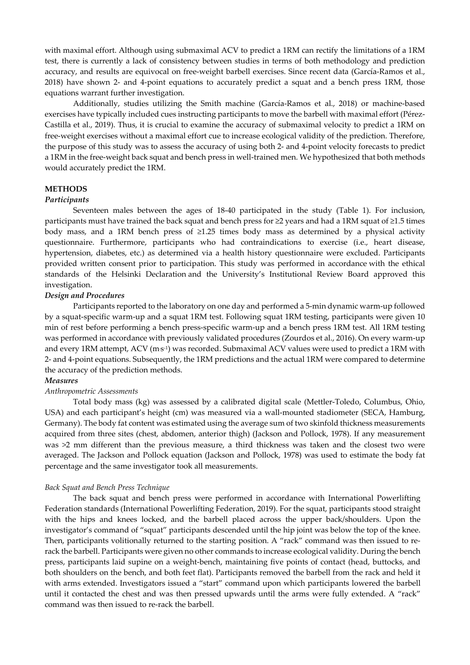with maximal effort. Although using submaximal ACV to predict a 1RM can rectify the limitations of a 1RM test, there is currently a lack of consistency between studies in terms of both methodology and prediction accuracy, and results are equivocal on free-weight barbell exercises. Since recent data (García-Ramos et al., 2018) have shown 2- and 4-point equations to accurately predict a squat and a bench press 1RM, those equations warrant further investigation.

Additionally, studies utilizing the Smith machine (García-Ramos et al., 2018) or machine-based exercises have typically included cues instructing participants to move the barbell with maximal effort (Pérez-Castilla et al., 2019). Thus, it is crucial to examine the accuracy of submaximal velocity to predict a 1RM on free-weight exercises without a maximal effort cue to increase ecological validity of the prediction. Therefore, the purpose of this study was to assess the accuracy of using both 2- and 4-point velocity forecasts to predict a 1RM in the free-weight back squat and bench press in well-trained men. We hypothesized that both methods would accurately predict the 1RM.

### **METHODS**

#### *Participants*

Seventeen males between the ages of 18-40 participated in the study (Table 1). For inclusion, participants must have trained the back squat and bench press for  $\geq$  years and had a 1RM squat of  $\geq$ 1.5 times body mass, and a 1RM bench press of ≥1.25 times body mass as determined by a physical activity questionnaire. Furthermore, participants who had contraindications to exercise (i.e., heart disease, hypertension, diabetes, etc.) as determined via a health history questionnaire were excluded. Participants provided written consent prior to participation. This study was performed in accordance with the ethical standards of the Helsinki Declaration and the University's Institutional Review Board approved this investigation.

#### *Design and Procedures*

Participants reported to the laboratory on one day and performed a 5-min dynamic warm-up followed by a squat-specific warm-up and a squat 1RM test. Following squat 1RM testing, participants were given 10 min of rest before performing a bench press-specific warm-up and a bench press 1RM test. All 1RM testing was performed in accordance with previously validated procedures (Zourdos et al., 2016). On every warm-up and every 1RM attempt, ACV (m·s·1) was recorded. Submaximal ACV values were used to predict a 1RM with 2- and 4-point equations. Subsequently, the 1RM predictions and the actual 1RM were compared to determine the accuracy of the prediction methods.

#### *Measures*

#### *Anthropometric Assessments*

Total body mass (kg) was assessed by a calibrated digital scale (Mettler-Toledo, Columbus, Ohio, USA) and each participant's height (cm) was measured via a wall-mounted stadiometer (SECA, Hamburg, Germany). The body fat content was estimated using the average sum of two skinfold thickness measurements acquired from three sites (chest, abdomen, anterior thigh) (Jackson and Pollock, 1978). If any measurement was >2 mm different than the previous measure, a third thickness was taken and the closest two were averaged. The Jackson and Pollock equation (Jackson and Pollock, 1978) was used to estimate the body fat percentage and the same investigator took all measurements.

### *Back Squat and Bench Press Technique*

The back squat and bench press were performed in accordance with International Powerlifting Federation standards (International Powerlifting Federation, 2019). For the squat, participants stood straight with the hips and knees locked, and the barbell placed across the upper back/shoulders. Upon the investigator's command of "squat" participants descended until the hip joint was below the top of the knee. Then, participants volitionally returned to the starting position. A "rack" command was then issued to rerack the barbell. Participants were given no other commands to increase ecological validity. During the bench press, participants laid supine on a weight-bench, maintaining five points of contact (head, buttocks, and both shoulders on the bench, and both feet flat). Participants removed the barbell from the rack and held it with arms extended. Investigators issued a "start" command upon which participants lowered the barbell until it contacted the chest and was then pressed upwards until the arms were fully extended. A "rack" command was then issued to re-rack the barbell.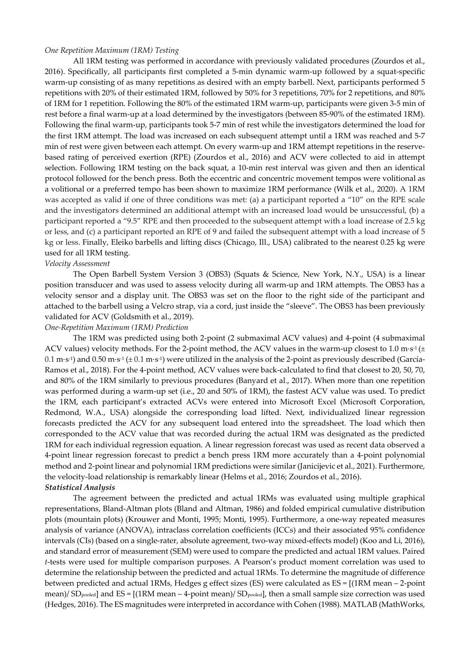#### *One Repetition Maximum (1RM) Testing*

All 1RM testing was performed in accordance with previously validated procedures (Zourdos et al., 2016). Specifically, all participants first completed a 5-min dynamic warm-up followed by a squat-specific warm-up consisting of as many repetitions as desired with an empty barbell. Next, participants performed 5 repetitions with 20% of their estimated 1RM, followed by 50% for 3 repetitions, 70% for 2 repetitions, and 80% of 1RM for 1 repetition. Following the 80% of the estimated 1RM warm-up, participants were given 3-5 min of rest before a final warm-up at a load determined by the investigators (between 85-90% of the estimated 1RM). Following the final warm-up, participants took 5-7 min of rest while the investigators determined the load for the first 1RM attempt. The load was increased on each subsequent attempt until a 1RM was reached and 5-7 min of rest were given between each attempt. On every warm-up and 1RM attempt repetitions in the reservebased rating of perceived exertion (RPE) (Zourdos et al., 2016) and ACV were collected to aid in attempt selection. Following 1RM testing on the back squat, a 10-min rest interval was given and then an identical protocol followed for the bench press. Both the eccentric and concentric movement tempos were volitional as a volitional or a preferred tempo has been shown to maximize 1RM performance (Wilk et al., 2020). A 1RM was accepted as valid if one of three conditions was met: (a) a participant reported a "10" on the RPE scale and the investigators determined an additional attempt with an increased load would be unsuccessful, (b) a participant reported a "9.5" RPE and then proceeded to the subsequent attempt with a load increase of 2.5 kg or less, and (c) a participant reported an RPE of 9 and failed the subsequent attempt with a load increase of 5 kg or less. Finally, Eleiko barbells and lifting discs (Chicago, Ill., USA) calibrated to the nearest 0.25 kg were used for all 1RM testing.

#### *Velocity Assessment*

The Open Barbell System Version 3 (OBS3) (Squats & Science, New York, N.Y., USA) is a linear position transducer and was used to assess velocity during all warm-up and 1RM attempts. The OBS3 has a velocity sensor and a display unit. The OBS3 was set on the floor to the right side of the participant and attached to the barbell using a Velcro strap, via a cord, just inside the "sleeve". The OBS3 has been previously validated for ACV (Goldsmith et al., 2019).

#### *One-Repetition Maximum (1RM) Prediction*

The 1RM was predicted using both 2-point (2 submaximal ACV values) and 4-point (4 submaximal ACV values) velocity methods. For the 2-point method, the ACV values in the warm-up closest to 1.0 m⋅s<sup>-1</sup> (±  $0.1$  m⋅s<sup>-1</sup>) and  $0.50$  m⋅s<sup>-1</sup> (±  $0.1$  m⋅s<sup>-1</sup>) were utilized in the analysis of the 2-point as previously described (García-Ramos et al., 2018). For the 4-point method, ACV values were back-calculated to find that closest to 20, 50, 70, and 80% of the 1RM similarly to previous procedures (Banyard et al., 2017). When more than one repetition was performed during a warm-up set (i.e., 20 and 50% of 1RM), the fastest ACV value was used. To predict the 1RM, each participant's extracted ACVs were entered into Microsoft Excel (Microsoft Corporation, Redmond, W.A., USA) alongside the corresponding load lifted. Next, individualized linear regression forecasts predicted the ACV for any subsequent load entered into the spreadsheet. The load which then corresponded to the ACV value that was recorded during the actual 1RM was designated as the predicted 1RM for each individual regression equation. A linear regression forecast was used as recent data observed a 4-point linear regression forecast to predict a bench press 1RM more accurately than a 4-point polynomial method and 2-point linear and polynomial 1RM predictions were similar (Janicijevic et al., 2021). Furthermore, the velocity-load relationship is remarkably linear (Helms et al., 2016; Zourdos et al., 2016).

# *Statistical Analysis*

The agreement between the predicted and actual 1RMs was evaluated using multiple graphical representations, Bland-Altman plots (Bland and Altman, 1986) and folded empirical cumulative distribution plots (mountain plots) (Krouwer and Monti, 1995; Monti, 1995). Furthermore, a one-way repeated measures analysis of variance (ANOVA), intraclass correlation coefficients (ICCs) and their associated 95% confidence intervals (CIs) (based on a single-rater, absolute agreement, two-way mixed-effects model) (Koo and Li, 2016), and standard error of measurement (SEM) were used to compare the predicted and actual 1RM values. Paired *t*-tests were used for multiple comparison purposes. A Pearson's product moment correlation was used to determine the relationship between the predicted and actual 1RMs. To determine the magnitude of difference between predicted and actual 1RMs, Hedges g effect sizes (ES) were calculated as ES = [(1RM mean – 2-point mean)/ SDpooled] and ES = [(1RM mean – 4-point mean)/ SDpooled], then a small sample size correction was used (Hedges, 2016). The ES magnitudes were interpreted in accordance with Cohen (1988). MATLAB (MathWorks,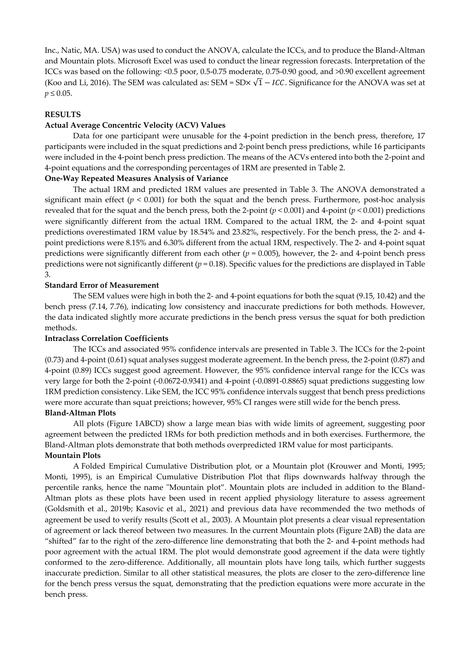Inc., Natic, MA. USA) was used to conduct the ANOVA, calculate the ICCs, and to produce the Bland-Altman and Mountain plots. Microsoft Excel was used to conduct the linear regression forecasts. Interpretation of the ICCs was based on the following: <0.5 poor, 0.5-0.75 moderate, 0.75-0.90 good, and >0.90 excellent agreement (Koo and Li, 2016). The SEM was calculated as: SEM = SD $\times$   $\sqrt{1}$  – ICC. Significance for the ANOVA was set at  $p \le 0.05$ .

## **RESULTS**

# **Actual Average Concentric Velocity (ACV) Values**

Data for one participant were unusable for the 4-point prediction in the bench press, therefore, 17 participants were included in the squat predictions and 2-point bench press predictions, while 16 participants were included in the 4-point bench press prediction. The means of the ACVs entered into both the 2-point and 4-point equations and the corresponding percentages of 1RM are presented in Table 2.

# **One-Way Repeated Measures Analysis of Variance**

The actual 1RM and predicted 1RM values are presented in Table 3. The ANOVA demonstrated a significant main effect ( $p < 0.001$ ) for both the squat and the bench press. Furthermore, post-hoc analysis revealed that for the squat and the bench press, both the 2-point ( $p < 0.001$ ) and 4-point ( $p < 0.001$ ) predictions were significantly different from the actual 1RM. Compared to the actual 1RM, the 2- and 4-point squat predictions overestimated 1RM value by 18.54% and 23.82%, respectively. For the bench press, the 2- and 4 point predictions were 8.15% and 6.30% different from the actual 1RM, respectively. The 2- and 4-point squat predictions were significantly different from each other (*p* = 0.005), however, the 2- and 4-point bench press predictions were not significantly different  $(p = 0.18)$ . Specific values for the predictions are displayed in Table 3.

# **Standard Error of Measurement**

The SEM values were high in both the 2- and 4-point equations for both the squat (9.15, 10.42) and the bench press (7.14, 7.76), indicating low consistency and inaccurate predictions for both methods. However, the data indicated slightly more accurate predictions in the bench press versus the squat for both prediction methods.

## **Intraclass Correlation Coefficients**

The ICCs and associated 95% confidence intervals are presented in Table 3. The ICCs for the 2-point (0.73) and 4-point (0.61) squat analyses suggest moderate agreement. In the bench press, the 2-point (0.87) and 4-point (0.89) ICCs suggest good agreement. However, the 95% confidence interval range for the ICCs was very large for both the 2-point (-0.0672-0.9341) and 4-point (-0.0891-0.8865) squat predictions suggesting low 1RM prediction consistency. Like SEM, the ICC 95% confidence intervals suggest that bench press predictions were more accurate than squat preictions; however, 95% CI ranges were still wide for the bench press.

# **Bland-Altman Plots**

All plots (Figure 1ABCD) show a large mean bias with wide limits of agreement, suggesting poor agreement between the predicted 1RMs for both prediction methods and in both exercises. Furthermore, the Bland-Altman plots demonstrate that both methods overpredicted 1RM value for most participants.

# **Mountain Plots**

A Folded Empirical Cumulative Distribution plot, or a Mountain plot (Krouwer and Monti, 1995; Monti, 1995), is an Empirical Cumulative Distribution Plot that flips downwards halfway through the percentile ranks, hence the name "Mountain plot". Mountain plots are included in addition to the Bland-Altman plots as these plots have been used in recent applied physiology literature to assess agreement (Goldsmith et al., 2019b; Kasovic et al., 2021) and previous data have recommended the two methods of agreement be used to verify results (Scott et al., 2003). A Mountain plot presents a clear visual representation of agreement or lack thereof between two measures. In the current Mountain plots (Figure 2AB) the data are "shifted" far to the right of the zero-difference line demonstrating that both the 2- and 4-point methods had poor agreement with the actual 1RM. The plot would demonstrate good agreement if the data were tightly conformed to the zero-difference. Additionally, all mountain plots have long tails, which further suggests inaccurate prediction. Similar to all other statistical measures, the plots are closer to the zero-difference line for the bench press versus the squat, demonstrating that the prediction equations were more accurate in the bench press.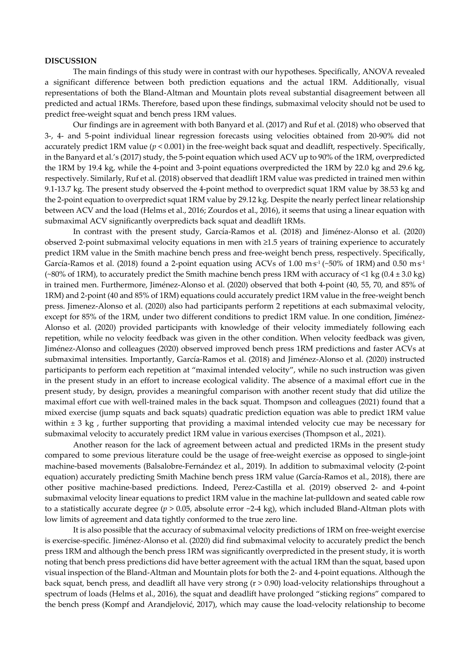### **DISCUSSION**

The main findings of this study were in contrast with our hypotheses. Specifically, ANOVA revealed a significant difference between both prediction equations and the actual 1RM. Additionally, visual representations of both the Bland-Altman and Mountain plots reveal substantial disagreement between all predicted and actual 1RMs. Therefore, based upon these findings, submaximal velocity should not be used to predict free-weight squat and bench press 1RM values.

Our findings are in agreement with both Banyard et al. (2017) and Ruf et al. (2018) who observed that 3-, 4- and 5-point individual linear regression forecasts using velocities obtained from 20-90% did not accurately predict 1RM value ( $p < 0.001$ ) in the free-weight back squat and deadlift, respectively. Specifically, in the Banyard et al.'s (2017) study, the 5-point equation which used ACV up to 90% of the 1RM, overpredicted the 1RM by 19.4 kg, while the 4-point and 3-point equations overpredicted the 1RM by 22.0 kg and 29.6 kg, respectively. Similarly, Ruf et al. (2018) observed that deadlift 1RM value was predicted in trained men within 9.1-13.7 kg. The present study observed the 4-point method to overpredict squat 1RM value by 38.53 kg and the 2-point equation to overpredict squat 1RM value by 29.12 kg. Despite the nearly perfect linear relationship between ACV and the load (Helms et al., 2016; Zourdos et al., 2016), it seems that using a linear equation with submaximal ACV significantly overpredicts back squat and deadlift 1RMs.

In contrast with the present study, García-Ramos et al. (2018) and Jiménez-Alonso et al. (2020) observed 2-point submaximal velocity equations in men with ≥1.5 years of training experience to accurately predict 1RM value in the Smith machine bench press and free-weight bench press, respectively. Specifically, García-Ramos et al. (2018) found a 2-point equation using ACVs of 1.00 m·s<sup>-1</sup> (~50% of 1RM) and 0.50 m·s<sup>-1</sup> (~80% of 1RM), to accurately predict the Smith machine bench press 1RM with accuracy of <1 kg (0.4  $\pm$  3.0 kg) in trained men. Furthermore, Jiménez-Alonso et al. (2020) observed that both 4-point (40, 55, 70, and 85% of 1RM) and 2-point (40 and 85% of 1RM) equations could accurately predict 1RM value in the free-weight bench press. Jimenez-Alonso et al. (2020) also had participants perform 2 repetitions at each submaximal velocity, except for 85% of the 1RM, under two different conditions to predict 1RM value. In one condition, Jiménez-Alonso et al. (2020) provided participants with knowledge of their velocity immediately following each repetition, while no velocity feedback was given in the other condition. When velocity feedback was given, Jiménez-Alonso and colleagues (2020) observed improved bench press 1RM predictions and faster ACVs at submaximal intensities. Importantly, García-Ramos et al. (2018) and Jiménez-Alonso et al. (2020) instructed participants to perform each repetition at "maximal intended velocity", while no such instruction was given in the present study in an effort to increase ecological validity. The absence of a maximal effort cue in the present study, by design, provides a meaningful comparison with another recent study that did utilize the maximal effort cue with well-trained males in the back squat. Thompson and colleagues (2021) found that a mixed exercise (jump squats and back squats) quadratic prediction equation was able to predict 1RM value within  $\pm$  3 kg, further supporting that providing a maximal intended velocity cue may be necessary for submaximal velocity to accurately predict 1RM value in various exercises (Thompson et al., 2021).

Another reason for the lack of agreement between actual and predicted 1RMs in the present study compared to some previous literature could be the usage of free-weight exercise as opposed to single-joint machine-based movements (Balsalobre-Fernández et al., 2019). In addition to submaximal velocity (2-point equation) accurately predicting Smith Machine bench press 1RM value (García-Ramos et al., 2018), there are other positive machine-based predictions. Indeed, Perez-Castilla et al. (2019) observed 2- and 4-point submaximal velocity linear equations to predict 1RM value in the machine lat-pulldown and seated cable row to a statistically accurate degree (*p* > 0.05, absolute error ~2-4 kg), which included Bland-Altman plots with low limits of agreement and data tightly conformed to the true zero line.

It is also possible that the accuracy of submaximal velocity predictions of 1RM on free-weight exercise is exercise-specific. Jiménez-Alonso et al. (2020) did find submaximal velocity to accurately predict the bench press 1RM and although the bench press 1RM was significantly overpredicted in the present study, it is worth noting that bench press predictions did have better agreement with the actual 1RM than the squat, based upon visual inspection of the Bland-Altman and Mountain plots for both the 2- and 4-point equations. Although the back squat, bench press, and deadlift all have very strong (r > 0.90) load-velocity relationships throughout a spectrum of loads (Helms et al., 2016), the squat and deadlift have prolonged "sticking regions" compared to the bench press (Kompf and Arandjelović, 2017), which may cause the load-velocity relationship to become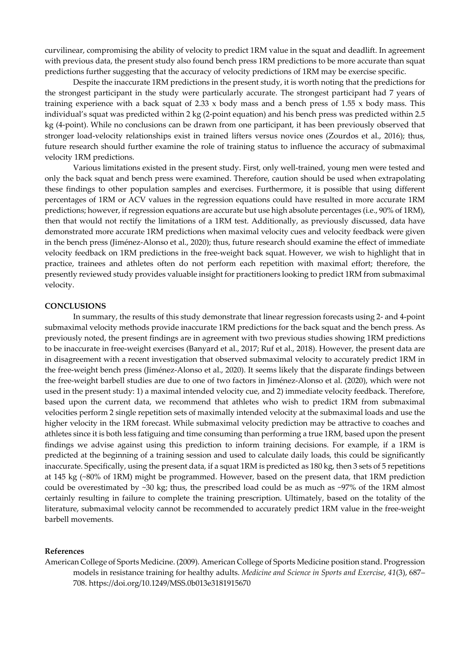curvilinear, compromising the ability of velocity to predict 1RM value in the squat and deadlift. In agreement with previous data, the present study also found bench press 1RM predictions to be more accurate than squat predictions further suggesting that the accuracy of velocity predictions of 1RM may be exercise specific.

Despite the inaccurate 1RM predictions in the present study, it is worth noting that the predictions for the strongest participant in the study were particularly accurate. The strongest participant had 7 years of training experience with a back squat of 2.33 x body mass and a bench press of 1.55 x body mass. This individual's squat was predicted within 2 kg (2-point equation) and his bench press was predicted within 2.5 kg (4-point). While no conclusions can be drawn from one participant, it has been previously observed that stronger load-velocity relationships exist in trained lifters versus novice ones (Zourdos et al., 2016); thus, future research should further examine the role of training status to influence the accuracy of submaximal velocity 1RM predictions.

Various limitations existed in the present study. First, only well-trained, young men were tested and only the back squat and bench press were examined. Therefore, caution should be used when extrapolating these findings to other population samples and exercises. Furthermore, it is possible that using different percentages of 1RM or ACV values in the regression equations could have resulted in more accurate 1RM predictions; however, if regression equations are accurate but use high absolute percentages (i.e., 90% of 1RM), then that would not rectify the limitations of a 1RM test. Additionally, as previously discussed, data have demonstrated more accurate 1RM predictions when maximal velocity cues and velocity feedback were given in the bench press (Jiménez-Alonso et al., 2020); thus, future research should examine the effect of immediate velocity feedback on 1RM predictions in the free-weight back squat. However, we wish to highlight that in practice, trainees and athletes often do not perform each repetition with maximal effort; therefore, the presently reviewed study provides valuable insight for practitioners looking to predict 1RM from submaximal velocity.

### **CONCLUSIONS**

In summary, the results of this study demonstrate that linear regression forecasts using 2- and 4-point submaximal velocity methods provide inaccurate 1RM predictions for the back squat and the bench press. As previously noted, the present findings are in agreement with two previous studies showing 1RM predictions to be inaccurate in free-weight exercises (Banyard et al., 2017; Ruf et al., 2018). However, the present data are in disagreement with a recent investigation that observed submaximal velocity to accurately predict 1RM in the free-weight bench press (Jiménez-Alonso et al., 2020). It seems likely that the disparate findings between the free-weight barbell studies are due to one of two factors in Jiménez-Alonso et al. (2020), which were not used in the present study: 1) a maximal intended velocity cue, and 2) immediate velocity feedback. Therefore, based upon the current data, we recommend that athletes who wish to predict 1RM from submaximal velocities perform 2 single repetition sets of maximally intended velocity at the submaximal loads and use the higher velocity in the 1RM forecast. While submaximal velocity prediction may be attractive to coaches and athletes since it is both less fatiguing and time consuming than performing a true 1RM, based upon the present findings we advise against using this prediction to inform training decisions. For example, if a 1RM is predicted at the beginning of a training session and used to calculate daily loads, this could be significantly inaccurate. Specifically, using the present data, if a squat 1RM is predicted as 180 kg, then 3 sets of 5 repetitions at 145 kg (~80% of 1RM) might be programmed. However, based on the present data, that 1RM prediction could be overestimated by ~30 kg; thus, the prescribed load could be as much as ~97% of the 1RM almost certainly resulting in failure to complete the training prescription. Ultimately, based on the totality of the literature, submaximal velocity cannot be recommended to accurately predict 1RM value in the free-weight barbell movements.

#### **References**

American College of Sports Medicine. (2009). American College of Sports Medicine position stand. Progression models in resistance training for healthy adults. *Medicine and Science in Sports and Exercise*, *41*(3), 687– 708. https://doi.org/10.1249/MSS.0b013e3181915670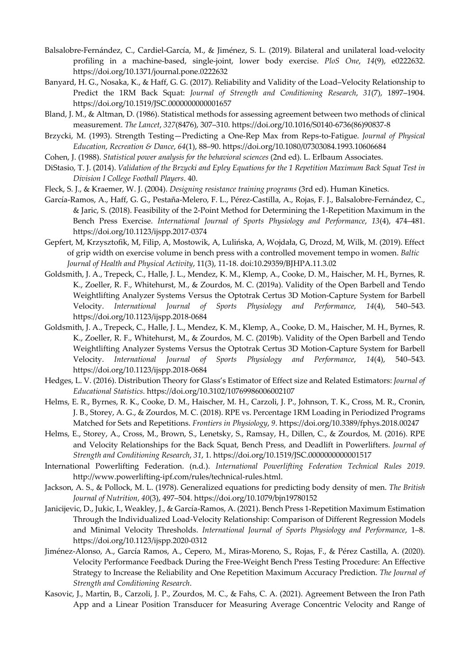- Balsalobre-Fernández, C., Cardiel-García, M., & Jiménez, S. L. (2019). Bilateral and unilateral load-velocity profiling in a machine-based, single-joint, lower body exercise. *PloS One*, *14*(9), e0222632. https://doi.org/10.1371/journal.pone.0222632
- Banyard, H. G., Nosaka, K., & Haff, G. G. (2017). Reliability and Validity of the Load–Velocity Relationship to Predict the 1RM Back Squat: *Journal of Strength and Conditioning Research*, *31*(7), 1897–1904. https://doi.org/10.1519/JSC.0000000000001657
- Bland, J. M., & Altman, D. (1986). Statistical methods for assessing agreement between two methods of clinical measurement. *The Lancet*, *327*(8476), 307–310. https://doi.org/10.1016/S0140-6736(86)90837-8
- Brzycki, M. (1993). Strength Testing—Predicting a One-Rep Max from Reps-to-Fatigue. *Journal of Physical Education, Recreation & Dance*, *64*(1), 88–90. https://doi.org/10.1080/07303084.1993.10606684
- Cohen, J. (1988). *Statistical power analysis for the behavioral sciences* (2nd ed). L. Erlbaum Associates.
- DiStasio, T. J. (2014). *Validation of the Brzycki and Epley Equations for the 1 Repetition Maximum Back Squat Test in Division I College Football Players*. 40.
- Fleck, S. J., & Kraemer, W. J. (2004). *Designing resistance training programs* (3rd ed). Human Kinetics.
- García-Ramos, A., Haff, G. G., Pestaña-Melero, F. L., Pérez-Castilla, A., Rojas, F. J., Balsalobre-Fernández, C., & Jaric, S. (2018). Feasibility of the 2-Point Method for Determining the 1-Repetition Maximum in the Bench Press Exercise. *International Journal of Sports Physiology and Performance*, *13*(4), 474–481. https://doi.org/10.1123/ijspp.2017-0374
- Gepfert, M, Krzysztofik, M, Filip, A, Mostowik, A, Lulińska, A, Wojdała, G, Drozd, M, Wilk, M. (2019). Effect of grip width on exercise volume in bench press with a controlled movement tempo in women. *Baltic Journal of Health and Physical Activity*, 11(3), 11-18. doi:10.29359/BJHPA.11.3.02
- Goldsmith, J. A., Trepeck, C., Halle, J. L., Mendez, K. M., Klemp, A., Cooke, D. M., Haischer, M. H., Byrnes, R. K., Zoeller, R. F., Whitehurst, M., & Zourdos, M. C. (2019a). Validity of the Open Barbell and Tendo Weightlifting Analyzer Systems Versus the Optotrak Certus 3D Motion-Capture System for Barbell Velocity. *International Journal of Sports Physiology and Performance*, *14*(4), 540–543. https://doi.org/10.1123/ijspp.2018-0684
- Goldsmith, J. A., Trepeck, C., Halle, J. L., Mendez, K. M., Klemp, A., Cooke, D. M., Haischer, M. H., Byrnes, R. K., Zoeller, R. F., Whitehurst, M., & Zourdos, M. C. (2019b). Validity of the Open Barbell and Tendo Weightlifting Analyzer Systems Versus the Optotrak Certus 3D Motion-Capture System for Barbell Velocity. *International Journal of Sports Physiology and Performance*, *14*(4), 540–543. https://doi.org/10.1123/ijspp.2018-0684
- Hedges, L. V. (2016). Distribution Theory for Glass's Estimator of Effect size and Related Estimators: *Journal of Educational Statistics*. https://doi.org/10.3102/10769986006002107
- Helms, E. R., Byrnes, R. K., Cooke, D. M., Haischer, M. H., Carzoli, J. P., Johnson, T. K., Cross, M. R., Cronin, J. B., Storey, A. G., & Zourdos, M. C. (2018). RPE vs. Percentage 1RM Loading in Periodized Programs Matched for Sets and Repetitions. *Frontiers in Physiology*, *9*. https://doi.org/10.3389/fphys.2018.00247
- Helms, E., Storey, A., Cross, M., Brown, S., Lenetsky, S., Ramsay, H., Dillen, C., & Zourdos, M. (2016). RPE and Velocity Relationships for the Back Squat, Bench Press, and Deadlift in Powerlifters. *Journal of Strength and Conditioning Research*, *31*, 1. https://doi.org/10.1519/JSC.0000000000001517
- International Powerlifting Federation. (n.d.). *International Powerlifting Federation Technical Rules 2019*. http://www.powerlifting-ipf.com/rules/technical-rules.html.
- Jackson, A. S., & Pollock, M. L. (1978). Generalized equations for predicting body density of men. *The British Journal of Nutrition*, *40*(3), 497–504. https://doi.org/10.1079/bjn19780152
- Janicijevic, D., Jukic, I., Weakley, J., & García-Ramos, A. (2021). Bench Press 1-Repetition Maximum Estimation Through the Individualized Load-Velocity Relationship: Comparison of Different Regression Models and Minimal Velocity Thresholds. *International Journal of Sports Physiology and Performance*, 1–8. https://doi.org/10.1123/ijspp.2020-0312
- Jiménez-Alonso, A., García Ramos, A., Cepero, M., Miras-Moreno, S., Rojas, F., & Pérez Castilla, A. (2020). Velocity Performance Feedback During the Free-Weight Bench Press Testing Procedure: An Effective Strategy to Increase the Reliability and One Repetition Maximum Accuracy Prediction. *The Journal of Strength and Conditioning Research*.
- Kasovic, J., Martin, B., Carzoli, J. P., Zourdos, M. C., & Fahs, C. A. (2021). Agreement Between the Iron Path App and a Linear Position Transducer for Measuring Average Concentric Velocity and Range of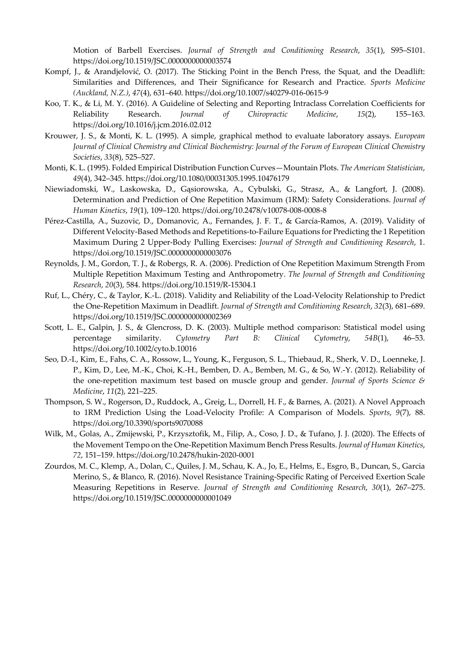Motion of Barbell Exercises. *Journal of Strength and Conditioning Research*, *35*(1), S95–S101. https://doi.org/10.1519/JSC.0000000000003574

- Kompf, J., & Arandjelović, O. (2017). The Sticking Point in the Bench Press, the Squat, and the Deadlift: Similarities and Differences, and Their Significance for Research and Practice. *Sports Medicine (Auckland, N.Z.)*, *47*(4), 631–640. https://doi.org/10.1007/s40279-016-0615-9
- Koo, T. K., & Li, M. Y. (2016). A Guideline of Selecting and Reporting Intraclass Correlation Coefficients for Reliability Research. *Journal of Chiropractic Medicine*, *15*(2), 155–163. https://doi.org/10.1016/j.jcm.2016.02.012
- Krouwer, J. S., & Monti, K. L. (1995). A simple, graphical method to evaluate laboratory assays. *European Journal of Clinical Chemistry and Clinical Biochemistry: Journal of the Forum of European Clinical Chemistry Societies*, *33*(8), 525–527.
- Monti, K. L. (1995). Folded Empirical Distribution Function Curves—Mountain Plots. *The American Statistician*, *49*(4), 342–345. https://doi.org/10.1080/00031305.1995.10476179
- Niewiadomski, W., Laskowska, D., Gąsiorowska, A., Cybulski, G., Strasz, A., & Langfort, J. (2008). Determination and Prediction of One Repetition Maximum (1RM): Safety Considerations. *Journal of Human Kinetics*, *19*(1), 109–120. https://doi.org/10.2478/v10078-008-0008-8
- Pérez-Castilla, A., Suzovic, D., Domanovic, A., Fernandes, J. F. T., & García-Ramos, A. (2019). Validity of Different Velocity-Based Methods and Repetitions-to-Failure Equations for Predicting the 1 Repetition Maximum During 2 Upper-Body Pulling Exercises: *Journal of Strength and Conditioning Research*, 1. https://doi.org/10.1519/JSC.0000000000003076
- Reynolds, J. M., Gordon, T. J., & Robergs, R. A. (2006). Prediction of One Repetition Maximum Strength From Multiple Repetition Maximum Testing and Anthropometry. *The Journal of Strength and Conditioning Research*, *20*(3), 584. https://doi.org/10.1519/R-15304.1
- Ruf, L., Chéry, C., & Taylor, K.-L. (2018). Validity and Reliability of the Load-Velocity Relationship to Predict the One-Repetition Maximum in Deadlift. *Journal of Strength and Conditioning Research*, *32*(3), 681–689. https://doi.org/10.1519/JSC.0000000000002369
- Scott, L. E., Galpin, J. S., & Glencross, D. K. (2003). Multiple method comparison: Statistical model using percentage similarity. *Cytometry Part B: Clinical Cytometry*, *54B*(1), 46–53. https://doi.org/10.1002/cyto.b.10016
- Seo, D.-I., Kim, E., Fahs, C. A., Rossow, L., Young, K., Ferguson, S. L., Thiebaud, R., Sherk, V. D., Loenneke, J. P., Kim, D., Lee, M.-K., Choi, K.-H., Bemben, D. A., Bemben, M. G., & So, W.-Y. (2012). Reliability of the one-repetition maximum test based on muscle group and gender. *Journal of Sports Science & Medicine*, *11*(2), 221–225.
- Thompson, S. W., Rogerson, D., Ruddock, A., Greig, L., Dorrell, H. F., & Barnes, A. (2021). A Novel Approach to 1RM Prediction Using the Load-Velocity Profile: A Comparison of Models. *Sports*, *9*(7), 88. https://doi.org/10.3390/sports9070088
- Wilk, M., Golas, A., Zmijewski, P., Krzysztofik, M., Filip, A., Coso, J. D., & Tufano, J. J. (2020). The Effects of the Movement Tempo on the One-Repetition Maximum Bench Press Results. *Journal of Human Kinetics*, *72*, 151–159. https://doi.org/10.2478/hukin-2020-0001
- Zourdos, M. C., Klemp, A., Dolan, C., Quiles, J. M., Schau, K. A., Jo, E., Helms, E., Esgro, B., Duncan, S., Garcia Merino, S., & Blanco, R. (2016). Novel Resistance Training-Specific Rating of Perceived Exertion Scale Measuring Repetitions in Reserve. *Journal of Strength and Conditioning Research*, *30*(1), 267–275. https://doi.org/10.1519/JSC.0000000000001049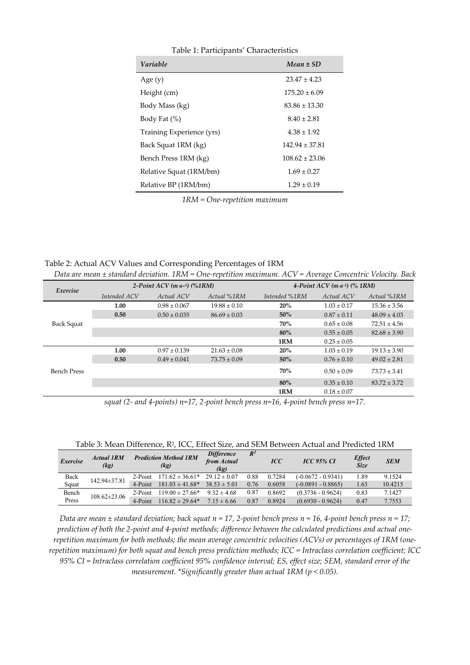| Table 1: Participants' Characteristics |                    |  |  |  |  |  |
|----------------------------------------|--------------------|--|--|--|--|--|
| <b>Variable</b>                        | $Mean \pm SD$      |  |  |  |  |  |
| Age $(y)$                              | $23.47 \pm 4.23$   |  |  |  |  |  |
| Height (cm)                            | $175.20 \pm 6.09$  |  |  |  |  |  |
| Body Mass (kg)                         | $83.86 \pm 13.30$  |  |  |  |  |  |
| Body Fat (%)                           | $8.40 \pm 2.81$    |  |  |  |  |  |
| Training Experience (yrs)              | $4.38 \pm 1.92$    |  |  |  |  |  |
| Back Squat 1RM (kg)                    | $142.94 \pm 37.81$ |  |  |  |  |  |
| Bench Press 1RM (kg)                   | $108.62 \pm 23.06$ |  |  |  |  |  |
| Relative Squat (1RM/bm)                | $1.69 \pm 0.27$    |  |  |  |  |  |
| Relative BP (1RM/bm)                   | $1.29 \pm 0.19$    |  |  |  |  |  |

*1RM = One-repetition maximum* 

Table 2: Actual ACV Values and Corresponding Percentages of 1RM

| Data are mean $\pm$ standard deviation. 1RM = One-repetition maximum. ACV = Average Concentric Velocity. Back |  |  |  |
|---------------------------------------------------------------------------------------------------------------|--|--|--|
|                                                                                                               |  |  |  |

| Exercise           | 2-Point $ACV$ ( <i>m</i> s <sup>-1</sup> ) (%1RM) |                  |                  | 4-Point ACV $(m s-1)$ $(\%$ 1RM) |                 |                  |  |
|--------------------|---------------------------------------------------|------------------|------------------|----------------------------------|-----------------|------------------|--|
|                    | Intended ACV                                      | Actual ACV       | Actual %1RM      | Intended %1RM                    | Actual ACV      | Actual %1RM      |  |
| Back Squat         | 1.00                                              | $0.98 \pm 0.067$ | $19.88 \pm 0.10$ | 20%                              | $1.03 \pm 0.17$ | $15.36 \pm 3.56$ |  |
|                    | 0.50                                              | $0.50 \pm 0.035$ | $86.69 \pm 0.03$ | 50%                              | $0.87 \pm 0.11$ | $48.09 \pm 4.03$ |  |
|                    |                                                   |                  |                  | 70%                              | $0.65 \pm 0.08$ | $72.51 \pm 4.56$ |  |
|                    |                                                   |                  |                  | 80%                              | $0.55 \pm 0.05$ | $82.68 \pm 3.90$ |  |
|                    |                                                   |                  |                  | 1RM                              | $0.25 \pm 0.05$ |                  |  |
| <b>Bench Press</b> | 1.00                                              | $0.97 \pm 0.139$ | $21.63 \pm 0.08$ | 20%                              | $1.03 \pm 0.19$ | $19.13 \pm 3.90$ |  |
|                    | 0.50                                              | $0.49 \pm 0.041$ | $73.75 \pm 0.09$ | 50%                              | $0.76 \pm 0.10$ | $49.02 \pm 2.81$ |  |
|                    |                                                   |                  |                  | 70%                              | $0.50 \pm 0.09$ | $73.73 \pm 3.41$ |  |
|                    |                                                   |                  |                  | 80%                              | $0.35 \pm 0.10$ | $83.72 \pm 3.72$ |  |
|                    |                                                   |                  |                  | 1RM                              | $0.18 \pm 0.07$ |                  |  |

*squat (2- and 4-points) n=17, 2-point bench press n=16, 4-point bench press n=17.* 

| Exercise | <b>Actual 1RM</b><br>(kg) | <b>Prediction Method 1RM</b><br>(kg) |                     | <b>Difference</b><br>from Actual<br>(kg) | $R^2$  | <b>ICC</b>           | <b>ICC 95% CI</b>   | <b>Effect</b><br><b>Size</b> | <b>SEM</b> |
|----------|---------------------------|--------------------------------------|---------------------|------------------------------------------|--------|----------------------|---------------------|------------------------------|------------|
| Back     | 142.94±37.81              | $2-Point$                            | $171.62 \pm 36.61*$ | $29.12 \pm 0.07$                         | 0.88   | 0.7284               | (-0.0672 - 0.9341)  | 1.89                         | 9.1524     |
| Squat    | 4-Point                   | $181.03 \pm 41.68^*$                 | $38.53 \pm 5.01$    | 0.76                                     | 0.6058 | $(-0.0891 - 0.8865)$ | 1.63                | 10.4215                      |            |
| Bench    | $108.62 \pm 23.06$        | $2-Point$                            | $119.00 \pm 27.66*$ | $9.32 \pm 4.68$                          | 0.87   | 0.8692               | $(0.3736 - 0.9624)$ | 0.83                         | 7.1427     |
| Press    |                           | 4-Point                              | $116.82 \pm 29.64*$ | $7.15 \pm 6.66$                          | 0.87   | 0.8924               | $(0.6930 - 0.9624)$ | 0.47                         | 7.7553     |

Table 3: Mean Difference, R2, ICC, Effect Size, and SEM Between Actual and Predicted 1RM

*Data are mean ± standard deviation; back squat n = 17, 2-point bench press n = 16, 4-point bench press n = 17; prediction of both the 2-point and 4-point methods; difference between the calculated predictions and actual onerepetition maximum for both methods; the mean average concentric velocities (ACVs) or percentages of 1RM (onerepetition maximum) for both squat and bench press prediction methods; ICC = Intraclass correlation coefficient; ICC 95% CI = Intraclass correlation coefficient 95% confidence interval; ES, effect size; SEM, standard error of the measurement. \*Significantly greater than actual 1RM (p < 0.05).*